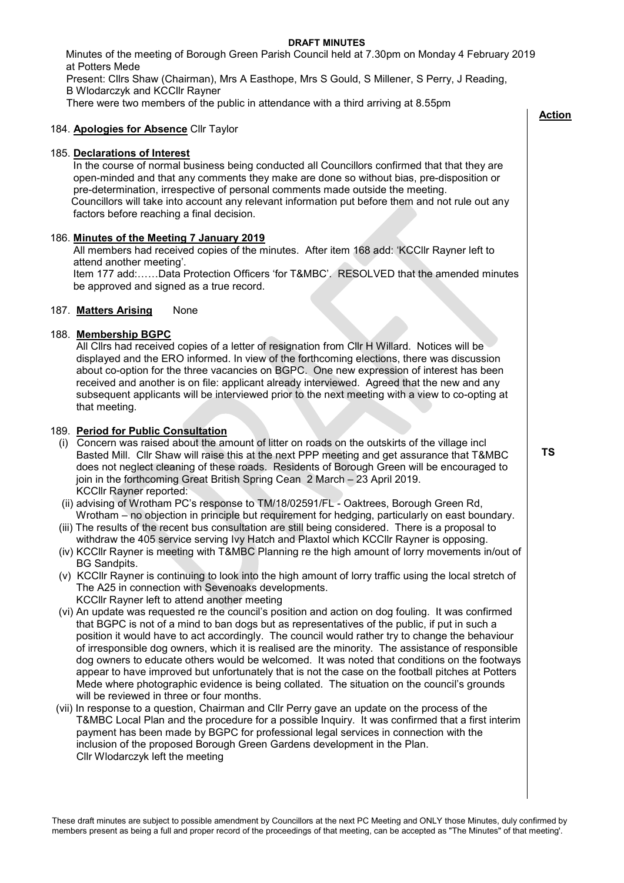### **DRAFT MINUTES**

 Minutes of the meeting of Borough Green Parish Council held at 7.30pm on Monday 4 February 2019 at Potters Mede

Present: Cllrs Shaw (Chairman), Mrs A Easthope, Mrs S Gould, S Millener, S Perry, J Reading, B Wlodarczyk and KCCllr Rayner

There were two members of the public in attendance with a third arriving at 8.55pm

# 184. **Apologies for Absence** Cllr Taylor

# 185. **Declarations of Interest**

In the course of normal business being conducted all Councillors confirmed that that they are open-minded and that any comments they make are done so without bias, pre-disposition or pre-determination, irrespective of personal comments made outside the meeting. Councillors will take into account any relevant information put before them and not rule out any factors before reaching a final decision.

# 186. **Minutes of the Meeting 7 January 2019**

 All members had received copies of the minutes. After item 168 add: 'KCCllr Rayner left to attend another meeting'.

 Item 177 add:……Data Protection Officers 'for T&MBC'. RESOLVED that the amended minutes be approved and signed as a true record.

### 187. **Matters Arising** None

# 188. **Membership BGPC**

 All Cllrs had received copies of a letter of resignation from Cllr H Willard. Notices will be displayed and the ERO informed. In view of the forthcoming elections, there was discussion about co-option for the three vacancies on BGPC. One new expression of interest has been received and another is on file: applicant already interviewed. Agreed that the new and any subsequent applicants will be interviewed prior to the next meeting with a view to co-opting at that meeting.

### 189. **Period for Public Consultation**

- (i) Concern was raised about the amount of litter on roads on the outskirts of the village incl Basted Mill. Cllr Shaw will raise this at the next PPP meeting and get assurance that T&MBC does not neglect cleaning of these roads. Residents of Borough Green will be encouraged to join in the forthcoming Great British Spring Cean 2 March – 23 April 2019. KCCllr Rayner reported:
- (ii) advising of Wrotham PC's response to TM/18/02591/FL Oaktrees, Borough Green Rd, Wrotham – no objection in principle but requirement for hedging, particularly on east boundary.
- (iii) The results of the recent bus consultation are still being considered. There is a proposal to withdraw the 405 service serving Ivy Hatch and Plaxtol which KCCllr Rayner is opposing.
- (iv) KCCllr Rayner is meeting with T&MBC Planning re the high amount of lorry movements in/out of BG Sandpits.
- (v) KCCllr Rayner is continuing to look into the high amount of lorry traffic using the local stretch of The A25 in connection with Sevenoaks developments. KCCllr Rayner left to attend another meeting
- (vi) An update was requested re the council's position and action on dog fouling. It was confirmed that BGPC is not of a mind to ban dogs but as representatives of the public, if put in such a position it would have to act accordingly. The council would rather try to change the behaviour of irresponsible dog owners, which it is realised are the minority. The assistance of responsible dog owners to educate others would be welcomed. It was noted that conditions on the footways appear to have improved but unfortunately that is not the case on the football pitches at Potters Mede where photographic evidence is being collated. The situation on the council's grounds will be reviewed in three or four months.
- (vii) In response to a question, Chairman and Cllr Perry gave an update on the process of the T&MBC Local Plan and the procedure for a possible Inquiry. It was confirmed that a first interim payment has been made by BGPC for professional legal services in connection with the inclusion of the proposed Borough Green Gardens development in the Plan. Cllr Wlodarczyk left the meeting

 **TS**

 **Action**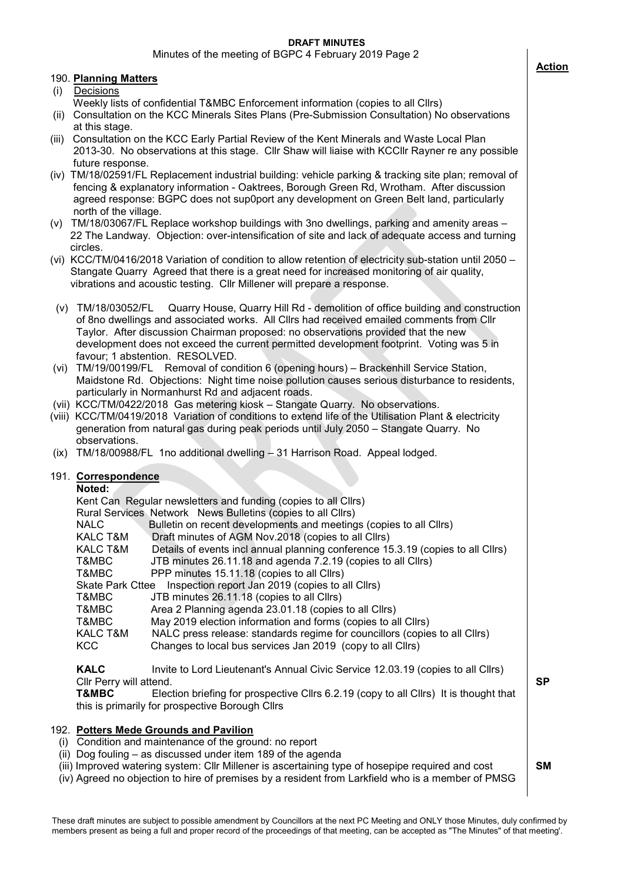# **DRAFT MINUTES**

Minutes of the meeting of BGPC 4 February 2019 Page 2

# 190. **Planning Matters**

- (i) Decisions
- Weekly lists of confidential T&MBC Enforcement information (copies to all Cllrs)
- (ii) Consultation on the KCC Minerals Sites Plans (Pre-Submission Consultation) No observations at this stage.
- (iii) Consultation on the KCC Early Partial Review of the Kent Minerals and Waste Local Plan 2013-30. No observations at this stage. Cllr Shaw will liaise with KCCllr Rayner re any possible future response.
- (iv) TM/18/02591/FL Replacement industrial building: vehicle parking & tracking site plan; removal of fencing & explanatory information - Oaktrees, Borough Green Rd, Wrotham. After discussion agreed response: BGPC does not sup0port any development on Green Belt land, particularly north of the village.
- (v) TM/18/03067/FL Replace workshop buildings with 3no dwellings, parking and amenity areas 22 The Landway. Objection: over-intensification of site and lack of adequate access and turning circles.
- (vi) KCC/TM/0416/2018 Variation of condition to allow retention of electricity sub-station until 2050 Stangate Quarry Agreed that there is a great need for increased monitoring of air quality, vibrations and acoustic testing. Cllr Millener will prepare a response.
- (v) TM/18/03052/FL Quarry House, Quarry Hill Rd demolition of office building and construction of 8no dwellings and associated works. All Cllrs had received emailed comments from Cllr Taylor. After discussion Chairman proposed: no observations provided that the new development does not exceed the current permitted development footprint. Voting was 5 in favour; 1 abstention. RESOLVED.
- (vi) TM/19/00199/FL Removal of condition 6 (opening hours) Brackenhill Service Station, Maidstone Rd. Objections: Night time noise pollution causes serious disturbance to residents, particularly in Normanhurst Rd and adjacent roads.
- (vii) KCC/TM/0422/2018 Gas metering kiosk Stangate Quarry. No observations.
- (viii) KCC/TM/0419/2018 Variation of conditions to extend life of the Utilisation Plant & electricity generation from natural gas during peak periods until July 2050 – Stangate Quarry. No observations.
- (ix) TM/18/00988/FL 1no additional dwelling 31 Harrison Road. Appeal lodged.

#### 191. **Correspondence**

**Noted:**

|                                                                             | Kent Can Regular newsletters and funding (copies to all Cllrs)                  |  |
|-----------------------------------------------------------------------------|---------------------------------------------------------------------------------|--|
|                                                                             | Rural Services Network News Bulletins (copies to all Cllrs)                     |  |
| <b>NALC</b>                                                                 | Bulletin on recent developments and meetings (copies to all Cllrs)              |  |
| KALC T&M                                                                    | Draft minutes of AGM Nov.2018 (copies to all Cllrs)                             |  |
| KALC T&M                                                                    | Details of events incl annual planning conference 15.3.19 (copies to all Cllrs) |  |
| T&MBC                                                                       | JTB minutes 26.11.18 and agenda 7.2.19 (copies to all Cllrs)                    |  |
| T&MBC                                                                       | PPP minutes 15.11.18 (copies to all Cllrs)                                      |  |
| Inspection report Jan 2019 (copies to all Cllrs)<br><b>Skate Park Cttee</b> |                                                                                 |  |
| T&MBC                                                                       | JTB minutes 26.11.18 (copies to all Cllrs)                                      |  |
| T&MBC                                                                       | Area 2 Planning agenda 23.01.18 (copies to all Cllrs)                           |  |
| T&MBC                                                                       | May 2019 election information and forms (copies to all Cllrs)                   |  |
| KALC T&M                                                                    | NALC press release: standards regime for councillors (copies to all Cllrs)      |  |
| <b>KCC</b>                                                                  | Changes to local bus services Jan 2019 (copy to all Cllrs)                      |  |

**KALC** Invite to Lord Lieutenant's Annual Civic Service 12.03.19 (copies to all Cllrs) Cllr Perry will attend.

**T&MBC** Election briefing for prospective Cllrs 6.2.19 (copy to all Cllrs) It is thought that this is primarily for prospective Borough Cllrs

#### 192. **Potters Mede Grounds and Pavilion**

- (i) Condition and maintenance of the ground: no report
- (ii) Dog fouling as discussed under item 189 of the agenda
- (iii) Improved watering system: Cllr Millener is ascertaining type of hosepipe required and cost
- (iv) Agreed no objection to hire of premises by a resident from Larkfield who is a member of PMSG



 **SM**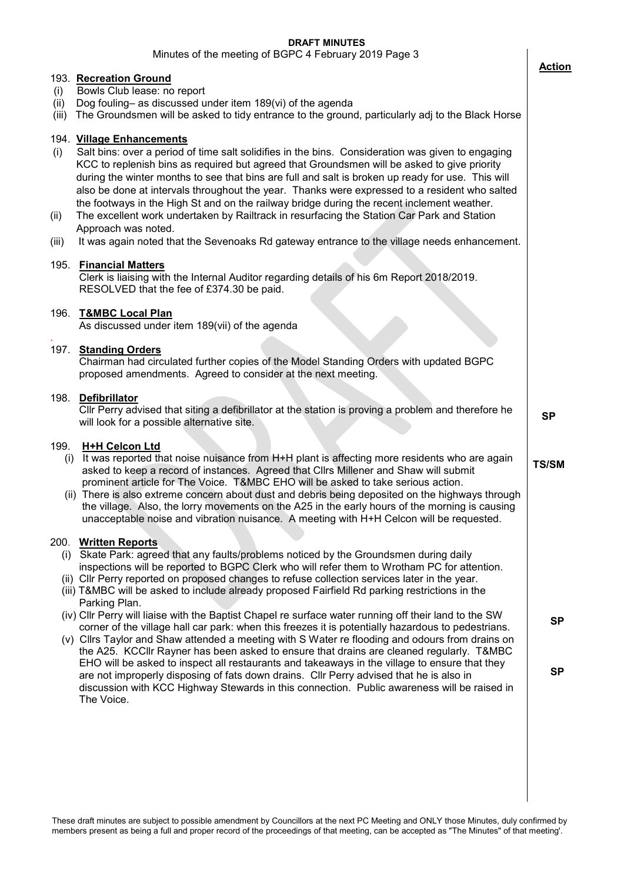